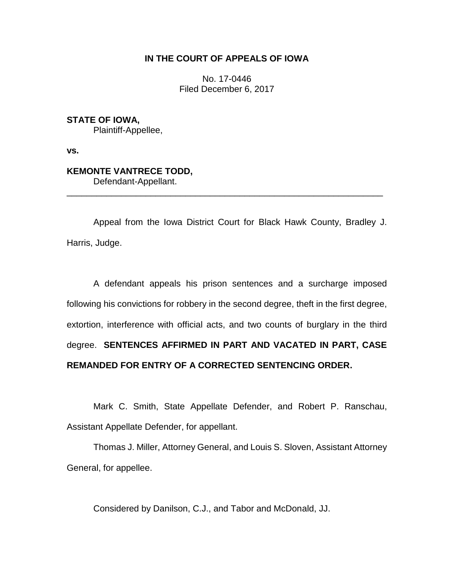## **IN THE COURT OF APPEALS OF IOWA**

No. 17-0446 Filed December 6, 2017

**STATE OF IOWA,** Plaintiff-Appellee,

**vs.**

## **KEMONTE VANTRECE TODD,**

Defendant-Appellant.

Appeal from the Iowa District Court for Black Hawk County, Bradley J. Harris, Judge.

\_\_\_\_\_\_\_\_\_\_\_\_\_\_\_\_\_\_\_\_\_\_\_\_\_\_\_\_\_\_\_\_\_\_\_\_\_\_\_\_\_\_\_\_\_\_\_\_\_\_\_\_\_\_\_\_\_\_\_\_\_\_\_\_

A defendant appeals his prison sentences and a surcharge imposed following his convictions for robbery in the second degree, theft in the first degree, extortion, interference with official acts, and two counts of burglary in the third degree. **SENTENCES AFFIRMED IN PART AND VACATED IN PART, CASE REMANDED FOR ENTRY OF A CORRECTED SENTENCING ORDER.**

Mark C. Smith, State Appellate Defender, and Robert P. Ranschau, Assistant Appellate Defender, for appellant.

Thomas J. Miller, Attorney General, and Louis S. Sloven, Assistant Attorney General, for appellee.

Considered by Danilson, C.J., and Tabor and McDonald, JJ.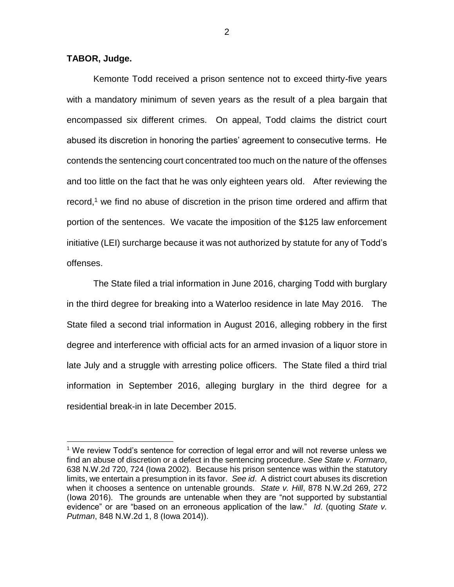## **TABOR, Judge.**

 $\overline{a}$ 

Kemonte Todd received a prison sentence not to exceed thirty-five years with a mandatory minimum of seven years as the result of a plea bargain that encompassed six different crimes. On appeal, Todd claims the district court abused its discretion in honoring the parties' agreement to consecutive terms. He contends the sentencing court concentrated too much on the nature of the offenses and too little on the fact that he was only eighteen years old. After reviewing the record,<sup>1</sup> we find no abuse of discretion in the prison time ordered and affirm that portion of the sentences. We vacate the imposition of the \$125 law enforcement initiative (LEI) surcharge because it was not authorized by statute for any of Todd's offenses.

 The State filed a trial information in June 2016, charging Todd with burglary in the third degree for breaking into a Waterloo residence in late May 2016. The State filed a second trial information in August 2016, alleging robbery in the first degree and interference with official acts for an armed invasion of a liquor store in late July and a struggle with arresting police officers. The State filed a third trial information in September 2016, alleging burglary in the third degree for a residential break-in in late December 2015.

<sup>&</sup>lt;sup>1</sup> We review Todd's sentence for correction of legal error and will not reverse unless we find an abuse of discretion or a defect in the sentencing procedure. *See State v. Formaro*, 638 N.W.2d 720, 724 (Iowa 2002). Because his prison sentence was within the statutory limits, we entertain a presumption in its favor. *See id*. A district court abuses its discretion when it chooses a sentence on untenable grounds. *State v. Hill*, 878 N.W.2d 269, 272 (Iowa 2016). The grounds are untenable when they are "not supported by substantial evidence" or are "based on an erroneous application of the law." *Id*. (quoting *State v. Putman*, 848 N.W.2d 1, 8 (Iowa 2014)).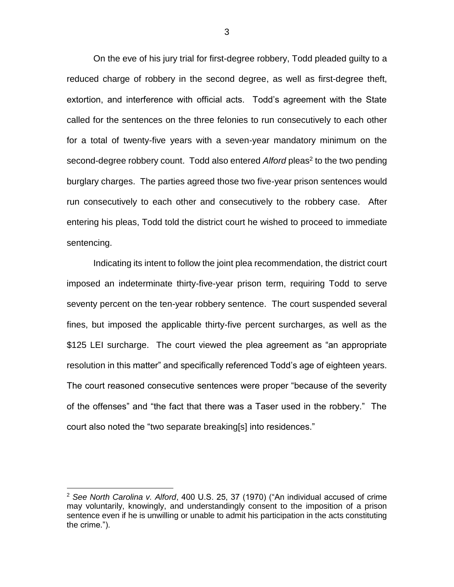On the eve of his jury trial for first-degree robbery, Todd pleaded guilty to a reduced charge of robbery in the second degree, as well as first-degree theft, extortion, and interference with official acts. Todd's agreement with the State called for the sentences on the three felonies to run consecutively to each other for a total of twenty-five years with a seven-year mandatory minimum on the second-degree robbery count. Todd also entered Alford pleas<sup>2</sup> to the two pending burglary charges. The parties agreed those two five-year prison sentences would run consecutively to each other and consecutively to the robbery case. After entering his pleas, Todd told the district court he wished to proceed to immediate sentencing.

Indicating its intent to follow the joint plea recommendation, the district court imposed an indeterminate thirty-five-year prison term, requiring Todd to serve seventy percent on the ten-year robbery sentence. The court suspended several fines, but imposed the applicable thirty-five percent surcharges, as well as the \$125 LEI surcharge. The court viewed the plea agreement as "an appropriate resolution in this matter" and specifically referenced Todd's age of eighteen years. The court reasoned consecutive sentences were proper "because of the severity of the offenses" and "the fact that there was a Taser used in the robbery." The court also noted the "two separate breaking[s] into residences."

 $\overline{a}$ 

<sup>2</sup> *See North Carolina v. Alford*, 400 U.S. 25, 37 (1970) ("An individual accused of crime may voluntarily, knowingly, and understandingly consent to the imposition of a prison sentence even if he is unwilling or unable to admit his participation in the acts constituting the crime.").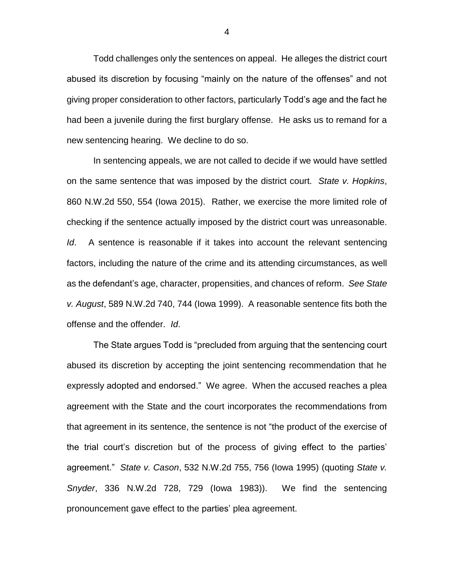Todd challenges only the sentences on appeal. He alleges the district court abused its discretion by focusing "mainly on the nature of the offenses" and not giving proper consideration to other factors, particularly Todd's age and the fact he had been a juvenile during the first burglary offense. He asks us to remand for a new sentencing hearing. We decline to do so.

In sentencing appeals, we are not called to decide if we would have settled on the same sentence that was imposed by the district court. *State v. Hopkins*, 860 N.W.2d 550, 554 (Iowa 2015). Rather, we exercise the more limited role of checking if the sentence actually imposed by the district court was unreasonable. *Id.* A sentence is reasonable if it takes into account the relevant sentencing factors, including the nature of the crime and its attending circumstances, as well as the defendant's age, character, propensities, and chances of reform. *See State v. August*, 589 N.W.2d 740, 744 (Iowa 1999). A reasonable sentence fits both the offense and the offender. *Id*.

The State argues Todd is "precluded from arguing that the sentencing court abused its discretion by accepting the joint sentencing recommendation that he expressly adopted and endorsed." We agree. When the accused reaches a plea agreement with the State and the court incorporates the recommendations from that agreement in its sentence, the sentence is not "the product of the exercise of the trial court's discretion but of the process of giving effect to the parties' agreement." *State v. Cason*, 532 N.W.2d 755, 756 (Iowa 1995) (quoting *State v. Snyder*, 336 N.W.2d 728, 729 (Iowa 1983)). We find the sentencing pronouncement gave effect to the parties' plea agreement.

4